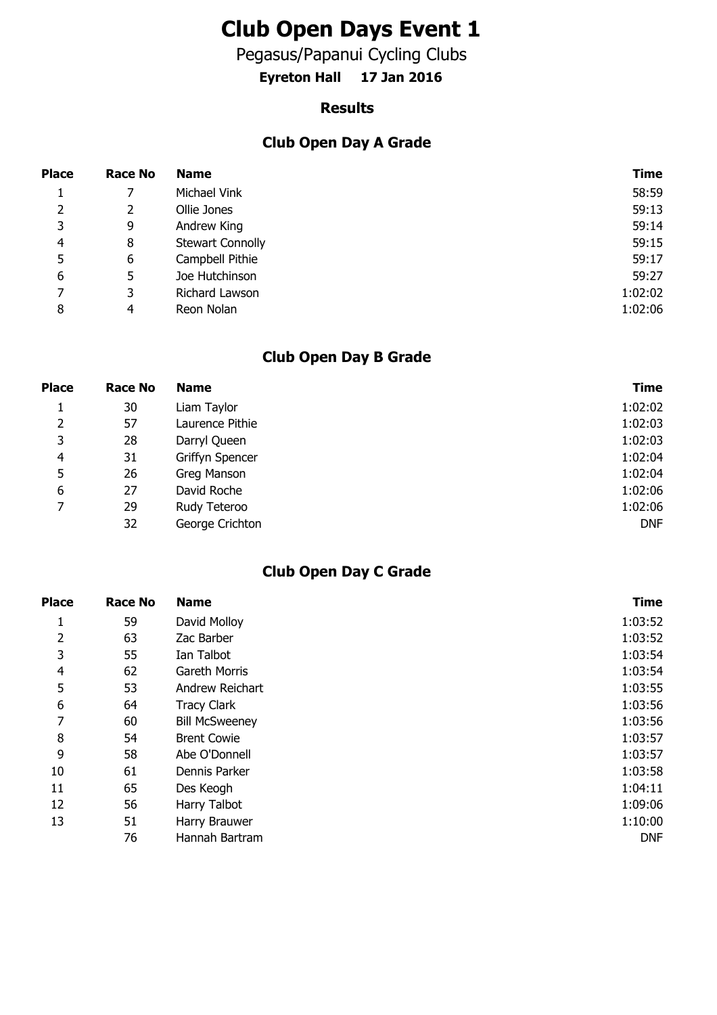# **Club Open Days Event 1**

Pegasus/Papanui Cycling Clubs

**Eyreton Hall 17 Jan 2016**

#### **Results**

### **Club Open Day A Grade**

| <b>Place</b>   | <b>Race No</b> | <b>Name</b>             | Time    |
|----------------|----------------|-------------------------|---------|
|                |                | Michael Vink            | 58:59   |
| $\overline{2}$ |                | Ollie Jones             | 59:13   |
| 3              | 9              | Andrew King             | 59:14   |
| 4              | 8              | <b>Stewart Connolly</b> | 59:15   |
| 5              | 6              | Campbell Pithie         | 59:17   |
| 6              | 5              | Joe Hutchinson          | 59:27   |
| 7              | 3              | Richard Lawson          | 1:02:02 |
| 8              | 4              | Reon Nolan              | 1:02:06 |

### **Club Open Day B Grade**

| <b>Place</b> | Race No | <b>Name</b>     | <b>Time</b> |
|--------------|---------|-----------------|-------------|
| Ŧ.           | 30      | Liam Taylor     | 1:02:02     |
| 2            | 57      | Laurence Pithie | 1:02:03     |
| 3            | 28      | Darryl Queen    | 1:02:03     |
| 4            | 31      | Griffyn Spencer | 1:02:04     |
| 5            | 26      | Greg Manson     | 1:02:04     |
| 6            | 27      | David Roche     | 1:02:06     |
| 7            | 29      | Rudy Teteroo    | 1:02:06     |
|              | 32      | George Crichton | <b>DNF</b>  |

#### **Club Open Day C Grade**

| <b>Place</b>   | <b>Race No</b> | <b>Name</b>           | <b>Time</b> |
|----------------|----------------|-----------------------|-------------|
| 1              | 59             | David Molloy          | 1:03:52     |
| $\overline{2}$ | 63             | Zac Barber            | 1:03:52     |
| 3              | 55             | Ian Talbot            | 1:03:54     |
| $\overline{4}$ | 62             | Gareth Morris         | 1:03:54     |
| 5              | 53             | Andrew Reichart       | 1:03:55     |
| 6              | 64             | <b>Tracy Clark</b>    | 1:03:56     |
| 7              | 60             | <b>Bill McSweeney</b> | 1:03:56     |
| 8              | 54             | <b>Brent Cowie</b>    | 1:03:57     |
| 9              | 58             | Abe O'Donnell         | 1:03:57     |
| 10             | 61             | Dennis Parker         | 1:03:58     |
| 11             | 65             | Des Keogh             | 1:04:11     |
| 12             | 56             | Harry Talbot          | 1:09:06     |
| 13             | 51             | Harry Brauwer         | 1:10:00     |
|                | 76             | Hannah Bartram        | <b>DNF</b>  |